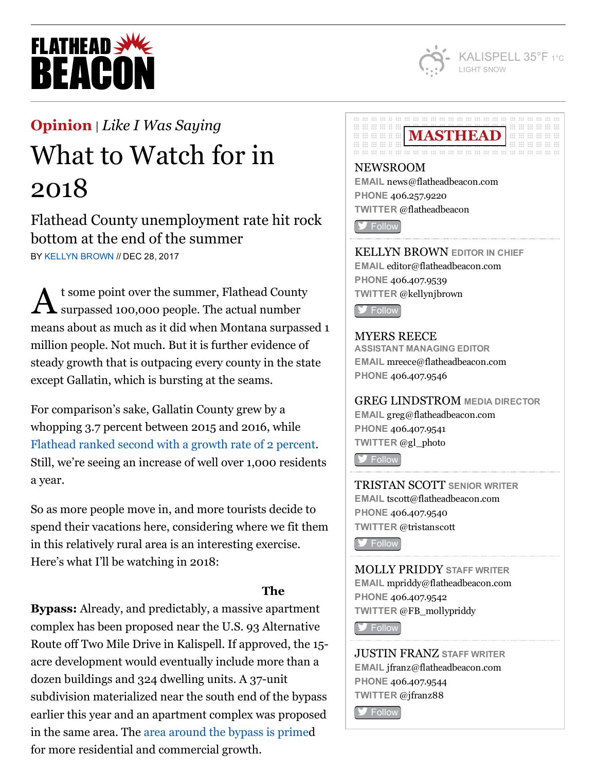

# **FLATHEAD SWA BEACO**

## [Opinion](http://flatheadbeacon.com/section/opinion/) | *Like I Was [Saying](http://flatheadbeacon.com/section/opinion/like-i-was-saying/)*

## What to Watch for in 2018

Flathead County unemployment rate hit rock bottom at the end of the summer BY KELLYN [BROWN](http://flatheadbeacon.com/author/kellynbrown/) // DEC 28, 2017

 $\mathbf A$  t some point over the summer, Flathead Count surpassed 100,000 people. The actual number t some point over the summer, Flathead County means about as much as it did when Montana surpassed 1 million people. Not much. But it is further evidence of steady growth that is outpacing every county in the state except Gallatin, which is bursting at the seams.

For comparison's sake, Gallatin County grew by a whopping 3.7 percent between 2015 and 2016, while [Flathead](http://flatheadbeacon.com/2017/05/29/u-s-census-kalispell-population-growing-rapid-rate/) ranked second with a growth rate of 2 percent. Still, we're seeing an increase of well over 1,000 residents a year.

So as more people move in, and more tourists decide to spend their vacations here, considering where we fit them in this relatively rural area is an interesting exercise. Here's what I'll be watching in 2018:

## The

Bypass: Already, and predictably, a massive apartment complex has been proposed near the U.S. 93 Alternative Route off Two Mile Drive in Kalispell. If approved, the 15 acre development would eventually include more than a dozen buildings and  $324$  dwelling units. A  $37$ -unit subdivision materialized near the south end of the bypass earlier this year and an apartment complex was proposed in the same area. The area [around](http://flatheadbeacon.com/2017/04/12/development-heats-kalispell-spring-arrives/) the bypass is primed for more residential and commercial growth.

#### **00 00 00 00 00 00 00 00 00 00** ............ MASTHEAD **WELL ::: ::: ::: ::: :: :: III III III II II** .............. . ... ... ... .. ... .

NEWSROOM EMAIL [news@flatheadbeacon.com](mailto:news@flatheadbeacon.com) PHONE [406.257.9220](tel:406.257.9220) TWITTER @flatheadbeacon

**[Follow](http://twitter.com/flatheadbeacon)** 

KELLYN BROWN EDITOR IN CHIEF EMAIL [editor@flatheadbeacon.com](mailto:editor@flatheadbeacon.com) PHONE [406.407.9539](tel:406.407.9539) TWITTER @kellynjbrown

**S** [Follow](http://twitter.com/kellynjbrown)

## MYERS REECE

ASSISTANT MANAGING EDITOR EMAIL [mreece@flatheadbeacon.com](mailto:mreece@flatheadbeacon.com) PHONE [406.407.9546](tel:406.407.9546)

## GREG LINDSTROM MEDIA DIRECTOR

EMAIL [greg@flatheadbeacon.com](mailto:greg@flatheadbeacon.com) PHONE [406.407.9541](tel:406.407.9541) TWITTER @gl\_photo

**[Follow](http://twitter.com/gl_photo)** 

TRISTAN SCOTT SENIOR WRITER EMAIL [tscott@flatheadbeacon.com](mailto:tscott@flatheadbeacon.com) PHONE [406.407.9540](tel:406.407.9540) TWITTER @tristanscott

**S** [Follow](http://twitter.com/tristanscott)

MOLLY PRIDDY STAFF WRITER EMAIL [mpriddy@flatheadbeacon.com](mailto:mpriddy@flatheadbeacon.com) PHONE [406.407.9542](tel:406.407.9542) TWITTER @FB\_mollypriddy

**[Follow](http://twitter.com/FB_mollypriddy)** 

JUSTIN FRANZ STAFF WRITER EMAIL [jfranz@flatheadbeacon.com](mailto:jfranz@flatheadbeacon.com) PHONE [406.407.9544](tel:406.407.9544) TWITTER @jfranz88

**S** [Follow](http://twitter.com/jfranz88)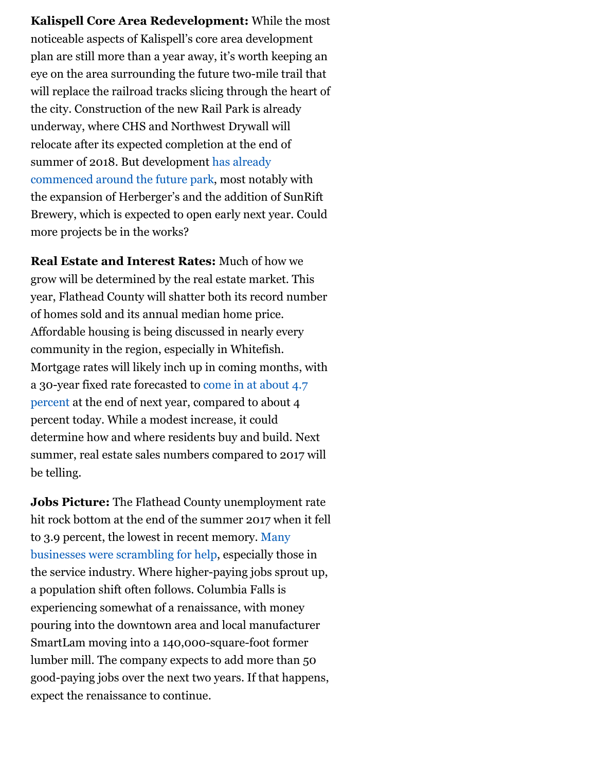Kalispell Core Area Redevelopment: While the most noticeable aspects of Kalispell's core area development plan are still more than a year away, it's worth keeping an eye on the area surrounding the future two-mile trail that will replace the railroad tracks slicing through the heart of the city. Construction of the new Rail Park is already underway, where CHS and Northwest Drywall will relocate after its expected completion at the end of summer of 2018. But [development](http://flatheadbeacon.com/2017/08/30/citys-path-forward/) has already commenced around the future park, most notably with the expansion of Herberger's and the addition of SunRift Brewery, which is expected to open early next year. Could more projects be in the works?

Real Estate and Interest Rates: Much of how we grow will be determined by the real estate market. This year, Flathead County will shatter both its record number of homes sold and its annual median home price. Affordable housing is being discussed in nearly every community in the region, especially in Whitefish. Mortgage rates will likely inch up in coming months, with a 30-year fixed rate [forecasted](http://www.cleveland.com/business/index.ssf/2017/12/10_housing_and_mortgage_trends.html) to come in at about 4.7 percent at the end of next year, compared to about 4 percent today. While a modest increase, it could determine how and where residents buy and build. Next summer, real estate sales numbers compared to 2017 will be telling.

Jobs Picture: The Flathead County unemployment rate hit rock bottom at the end of the summer 2017 when it fell to 3.9 percent, the lowest in recent memory. Many businesses were [scrambling](http://flatheadbeacon.com/2017/10/19/employment-seekers-market/) for help, especially those in the service industry. Where higher-paying jobs sprout up, a population shift often follows. Columbia Falls is experiencing somewhat of a renaissance, with money pouring into the downtown area and local manufacturer SmartLam moving into a 140,000-square-foot former lumber mill. The company expects to add more than 50 good-paying jobs over the next two years. If that happens, expect the renaissance to continue.